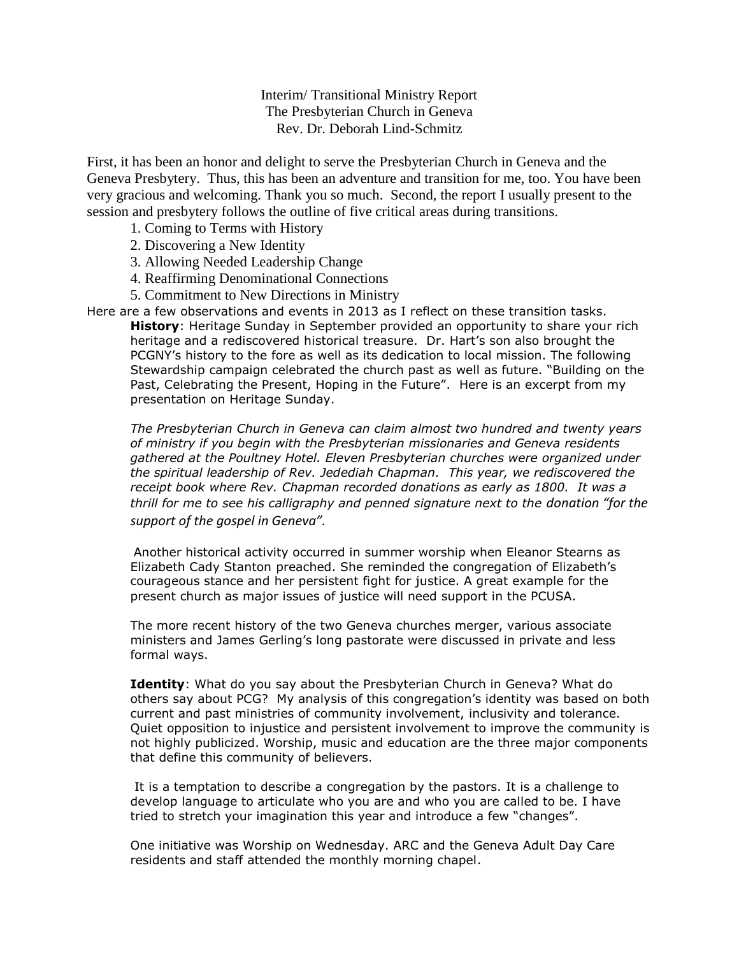Interim/ Transitional Ministry Report The Presbyterian Church in Geneva Rev. Dr. Deborah Lind-Schmitz

First, it has been an honor and delight to serve the Presbyterian Church in Geneva and the Geneva Presbytery. Thus, this has been an adventure and transition for me, too. You have been very gracious and welcoming. Thank you so much. Second, the report I usually present to the session and presbytery follows the outline of five critical areas during transitions.

- 1. Coming to Terms with History
- 2. Discovering a New Identity
- 3. Allowing Needed Leadership Change
- 4. Reaffirming Denominational Connections
- 5. Commitment to New Directions in Ministry

Here are a few observations and events in 2013 as I reflect on these transition tasks. **History**: Heritage Sunday in September provided an opportunity to share your rich heritage and a rediscovered historical treasure. Dr. Hart's son also brought the PCGNY's history to the fore as well as its dedication to local mission. The following Stewardship campaign celebrated the church past as well as future. "Building on the Past, Celebrating the Present, Hoping in the Future". Here is an excerpt from my presentation on Heritage Sunday.

*The Presbyterian Church in Geneva can claim almost two hundred and twenty years of ministry if you begin with the Presbyterian missionaries and Geneva residents gathered at the Poultney Hotel. Eleven Presbyterian churches were organized under the spiritual leadership of Rev. Jedediah Chapman. This year, we rediscovered the receipt book where Rev. Chapman recorded donations as early as 1800. It was a thrill for me to see his calligraphy and penned signature next to the donation "for the support of the gospel in Geneva".*

Another historical activity occurred in summer worship when Eleanor Stearns as Elizabeth Cady Stanton preached. She reminded the congregation of Elizabeth's courageous stance and her persistent fight for justice. A great example for the present church as major issues of justice will need support in the PCUSA.

The more recent history of the two Geneva churches merger, various associate ministers and James Gerling's long pastorate were discussed in private and less formal ways.

**Identity**: What do you say about the Presbyterian Church in Geneva? What do others say about PCG? My analysis of this congregation's identity was based on both current and past ministries of community involvement, inclusivity and tolerance. Quiet opposition to injustice and persistent involvement to improve the community is not highly publicized. Worship, music and education are the three major components that define this community of believers.

It is a temptation to describe a congregation by the pastors. It is a challenge to develop language to articulate who you are and who you are called to be. I have tried to stretch your imagination this year and introduce a few "changes".

One initiative was Worship on Wednesday. ARC and the Geneva Adult Day Care residents and staff attended the monthly morning chapel.